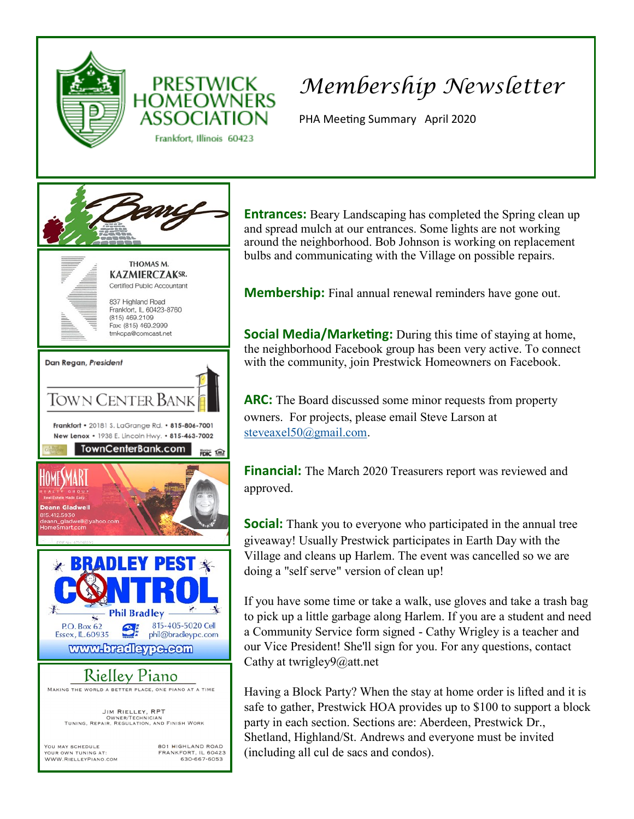



Frankfort, Illinois 60423

# *Membership Newsletter*

PHA Meeting Summary April 2020



**Entrances:** Beary Landscaping has completed the Spring clean up and spread mulch at our entrances. Some lights are not working around the neighborhood. Bob Johnson is working on replacement bulbs and communicating with the Village on possible repairs.

**Membership:** Final annual renewal reminders have gone out.

**Social Media/Marketing:** During this time of staying at home, the neighborhood Facebook group has been very active. To connect with the community, join Prestwick Homeowners on Facebook.

**ARC:** The Board discussed some minor requests from property owners. For projects, please email Steve Larson at [steveaxel50@gmail.com.](mailto:steveaxel50@gmail.com) 

**Financial:** The March 2020 Treasurers report was reviewed and approved.

**Social:** Thank you to everyone who participated in the annual tree giveaway! Usually Prestwick participates in Earth Day with the Village and cleans up Harlem. The event was cancelled so we are doing a "self serve" version of clean up!

If you have some time or take a walk, use gloves and take a trash bag to pick up a little garbage along Harlem. If you are a student and need a Community Service form signed - Cathy Wrigley is a teacher and our Vice President! She'll sign for you. For any questions, contact Cathy at twrigley9@att.net

Having a Block Party? When the stay at home order is lifted and it is safe to gather, Prestwick HOA provides up to \$100 to support a block party in each section. Sections are: Aberdeen, Prestwick Dr., Shetland, Highland/St. Andrews and everyone must be invited (including all cul de sacs and condos).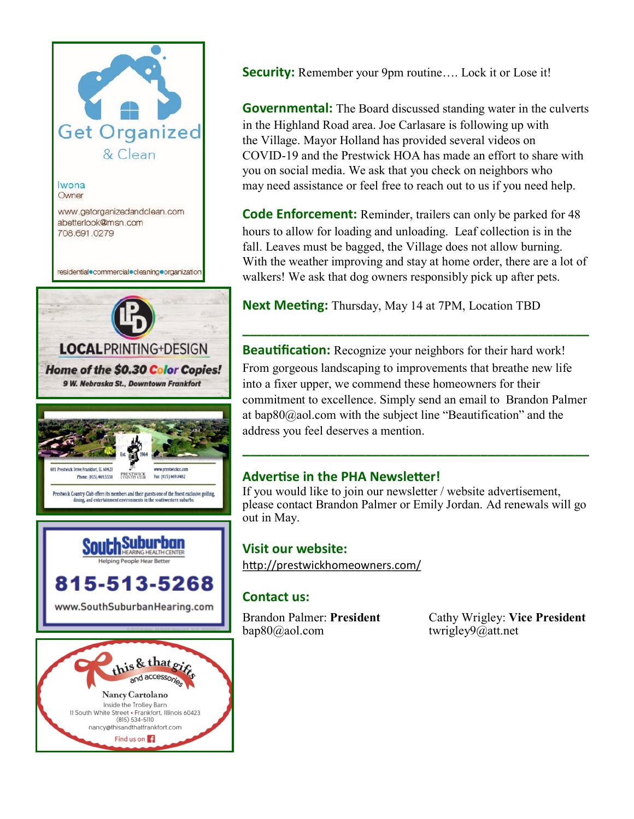

**Security:** Remember your 9pm routine.... Lock it or Lose it!

**Governmental:** The Board discussed standing water in the culverts in the Highland Road area. Joe Carlasare is following up with the Village. Mayor Holland has provided several videos on COVID-19 and the Prestwick HOA has made an effort to share with you on social media. We ask that you check on neighbors who may need assistance or feel free to reach out to us if you need help.

**Code Enforcement:** Reminder, trailers can only be parked for 48 hours to allow for loading and unloading. Leaf collection is in the fall. Leaves must be bagged, the Village does not allow burning. With the weather improving and stay at home order, there are a lot of walkers! We ask that dog owners responsibly pick up after pets.

**Next Meeting:** Thursday, May 14 at 7PM, Location TBD

**Beautification:** Recognize your neighbors for their hard work! From gorgeous landscaping to improvements that breathe new life into a fixer upper, we commend these homeowners for their commitment to excellence. Simply send an email to Brandon Palmer at [bap80@aol.com](mailto:bap80@aol.com) with the subject line "Beautification" and the address you feel deserves a mention.

**\_\_\_\_\_\_\_\_\_\_\_\_\_\_\_\_\_\_\_\_\_\_\_\_\_\_\_\_\_\_\_\_\_\_\_\_\_\_\_\_\_\_\_\_\_\_\_\_**

## **Advertise in the PHA Newsletter!**

If you would like to join our newsletter / website advertisement, please contact Brandon Palmer or Emily Jordan. Ad renewals will go out in May.

**\_\_\_\_\_\_\_\_\_\_\_\_\_\_\_\_\_\_\_\_\_\_\_\_\_\_\_\_\_\_\_\_\_\_\_\_\_\_\_\_\_\_\_\_\_\_\_\_**

#### **Visit our website:**

<http://prestwickhomeowners.com/>

## **Contact us:**

[bap80@aol.com](mailto:bap80@aol.com) twrigley9@att.net

Brandon Palmer: **President** Cathy Wrigley: **Vice President**